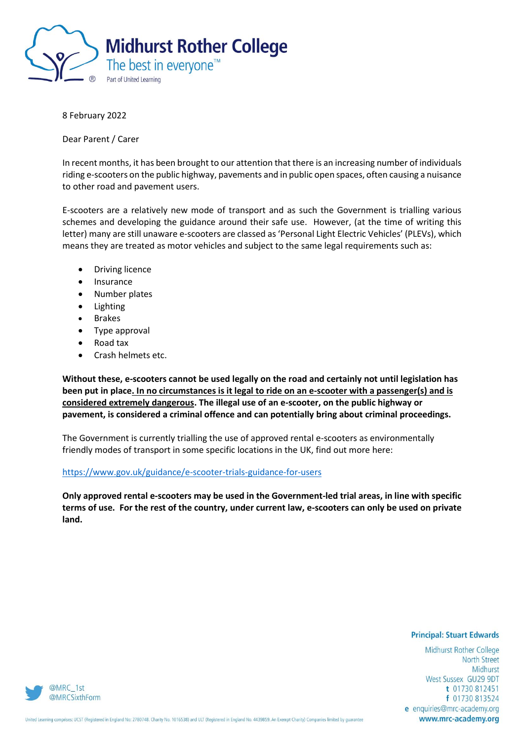

8 February 2022

Dear Parent / Carer

In recent months, it has been brought to our attention that there is an increasing number of individuals riding e-scooters on the public highway, pavements and in public open spaces, often causing a nuisance to other road and pavement users.

E-scooters are a relatively new mode of transport and as such the Government is trialling various schemes and developing the guidance around their safe use. However, (at the time of writing this letter) many are still unaware e-scooters are classed as 'Personal Light Electric Vehicles' (PLEVs), which means they are treated as motor vehicles and subject to the same legal requirements such as:

- Driving licence
- Insurance
- Number plates
- Lighting
- Brakes
- Type approval
- Road tax
- Crash helmets etc.

**Without these, e-scooters cannot be used legally on the road and certainly not until legislation has been put in place. In no circumstances is it legal to ride on an e-scooter with a passenger(s) and is considered extremely dangerous. The illegal use of an e-scooter, on the public highway or pavement, is considered a criminal offence and can potentially bring about criminal proceedings.**

The Government is currently trialling the use of approved rental e-scooters as environmentally friendly modes of transport in some specific locations in the UK, find out more here:

## <https://www.gov.uk/guidance/e-scooter-trials-guidance-for-users>

**Only approved rental e-scooters may be used in the Government-led trial areas, in line with specific terms of use. For the rest of the country, under current law, e-scooters can only be used on private land.**

## **Principal: Stuart Edwards**

Midhurst Rother College **North Street** Midhurst West Sussex GU29 9DT t 01730 812451 f 01730 813524 e enquiries@mrc-academy.org www.mrc-academy.org